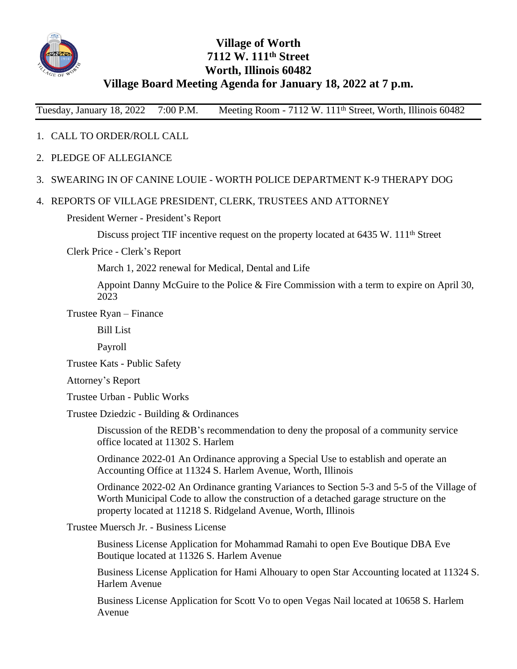

# **Village of Worth 7112 W. 111th Street Worth, Illinois 60482 Village Board Meeting Agenda for January 18, 2022 at 7 p.m.**

Tuesday, January 18, 2022 7:00 P.M. Meeting Room - 7112 W. 111<sup>th</sup> Street, Worth, Illinois 60482

## 1. CALL TO ORDER/ROLL CALL

- 2. PLEDGE OF ALLEGIANCE
- 3. SWEARING IN OF CANINE LOUIE WORTH POLICE DEPARTMENT K-9 THERAPY DOG

#### 4. REPORTS OF VILLAGE PRESIDENT, CLERK, TRUSTEES AND ATTORNEY

#### President Werner - President's Report

Discuss project TIF incentive request on the property located at 6435 W. 111<sup>th</sup> Street

Clerk Price - Clerk's Report

March 1, 2022 renewal for Medical, Dental and Life

Appoint Danny McGuire to the Police & Fire Commission with a term to expire on April 30, 2023

Trustee Ryan – Finance

Bill List

Payroll

Trustee Kats - Public Safety

Attorney's Report

Trustee Urban - Public Works

Trustee Dziedzic - Building & Ordinances

Discussion of the REDB's recommendation to deny the proposal of a community service office located at 11302 S. Harlem

Ordinance 2022-01 An Ordinance approving a Special Use to establish and operate an Accounting Office at 11324 S. Harlem Avenue, Worth, Illinois

Ordinance 2022-02 An Ordinance granting Variances to Section 5-3 and 5-5 of the Village of Worth Municipal Code to allow the construction of a detached garage structure on the property located at 11218 S. Ridgeland Avenue, Worth, Illinois

Trustee Muersch Jr. - Business License

Business License Application for Mohammad Ramahi to open Eve Boutique DBA Eve Boutique located at 11326 S. Harlem Avenue

Business License Application for Hami Alhouary to open Star Accounting located at 11324 S. Harlem Avenue

Business License Application for Scott Vo to open Vegas Nail located at 10658 S. Harlem Avenue